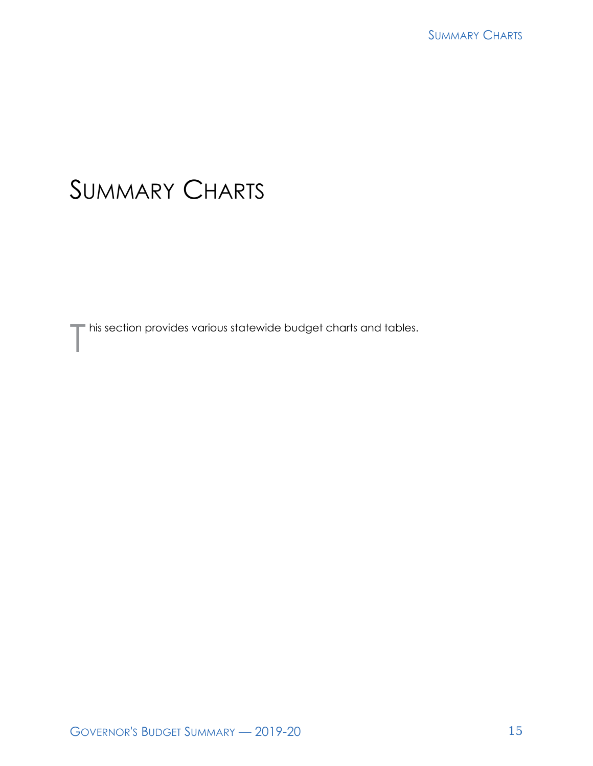# SUMMARY CHARTS

This section provides various statewide budget charts and tables.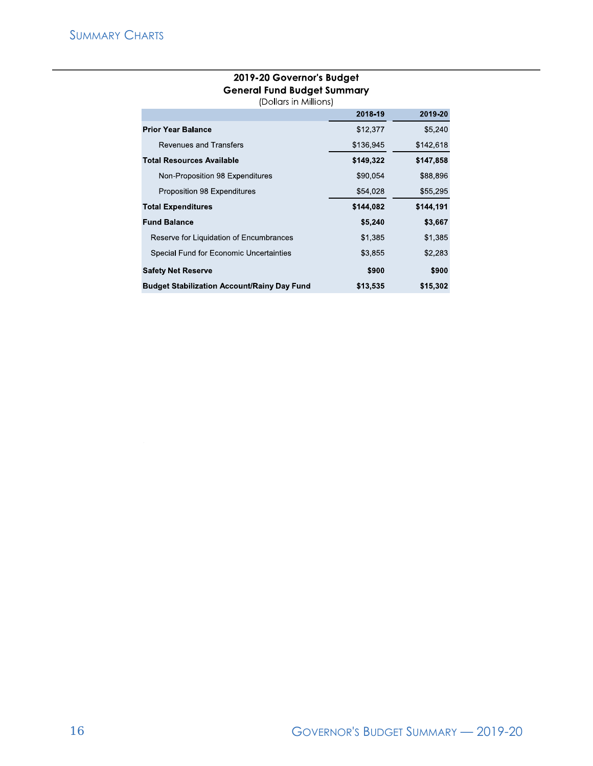## **2019-20 Governor's Budget General Fund Budget Summary**

(Dollars in Millions)

|                                                    | 2018-19   | 2019-20   |
|----------------------------------------------------|-----------|-----------|
| <b>Prior Year Balance</b>                          | \$12,377  | \$5,240   |
| Revenues and Transfers                             | \$136,945 | \$142,618 |
| <b>Total Resources Available</b>                   | \$149,322 | \$147,858 |
| Non-Proposition 98 Expenditures                    | \$90,054  | \$88,896  |
| Proposition 98 Expenditures                        | \$54,028  | \$55,295  |
| <b>Total Expenditures</b>                          | \$144,082 | \$144,191 |
| <b>Fund Balance</b>                                | \$5,240   | \$3,667   |
| Reserve for Liquidation of Encumbrances            | \$1,385   | \$1,385   |
| Special Fund for Economic Uncertainties            | \$3.855   | \$2,283   |
| <b>Safety Net Reserve</b>                          | \$900     | \$900     |
| <b>Budget Stabilization Account/Rainy Day Fund</b> | \$13,535  | \$15,302  |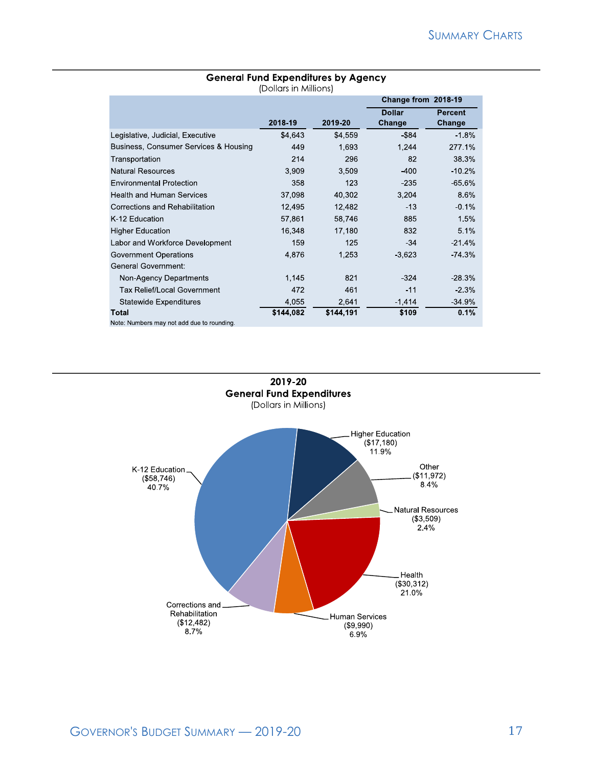|                                            | (DOIIGIS IN MIIIIONS) |           |                         |                          |
|--------------------------------------------|-----------------------|-----------|-------------------------|--------------------------|
|                                            |                       |           | Change from 2018-19     |                          |
|                                            | 2018-19               | 2019-20   | <b>Dollar</b><br>Change | <b>Percent</b><br>Change |
| Legislative, Judicial, Executive           | \$4,643               | \$4,559   | \$84                    | $-1.8%$                  |
| Business, Consumer Services & Housing      | 449                   | 1,693     | 1,244                   | 277.1%                   |
| Transportation                             | 214                   | 296       | 82                      | 38.3%                    |
| <b>Natural Resources</b>                   | 3,909                 | 3,509     | -400                    | $-10.2%$                 |
| <b>Environmental Protection</b>            | 358                   | 123       | $-235$                  | $-65.6%$                 |
| <b>Health and Human Services</b>           | 37,098                | 40,302    | 3,204                   | 8.6%                     |
| Corrections and Rehabilitation             | 12,495                | 12,482    | $-13$                   | $-0.1%$                  |
| K-12 Education                             | 57,861                | 58,746    | 885                     | 1.5%                     |
| <b>Higher Education</b>                    | 16,348                | 17,180    | 832                     | 5.1%                     |
| Labor and Workforce Development            | 159                   | 125       | $-34$                   | $-21.4%$                 |
| Government Operations                      | 4,876                 | 1,253     | $-3,623$                | -74.3%                   |
| General Government:                        |                       |           |                         |                          |
| Non-Agency Departments                     | 1,145                 | 821       | $-324$                  | -28.3%                   |
| <b>Tax Relief/Local Government</b>         | 472                   | 461       | $-11$                   | $-2.3%$                  |
| <b>Statewide Expenditures</b>              | 4,055                 | 2,641     | $-1,414$                | $-34.9%$                 |
| Total                                      | \$144,082             | \$144,191 | \$109                   | 0.1%                     |
| Note: Numbers may not add due to rounding. |                       |           |                         |                          |

#### **General Fund Expenditures by Agency**  (Dollars in Millions)

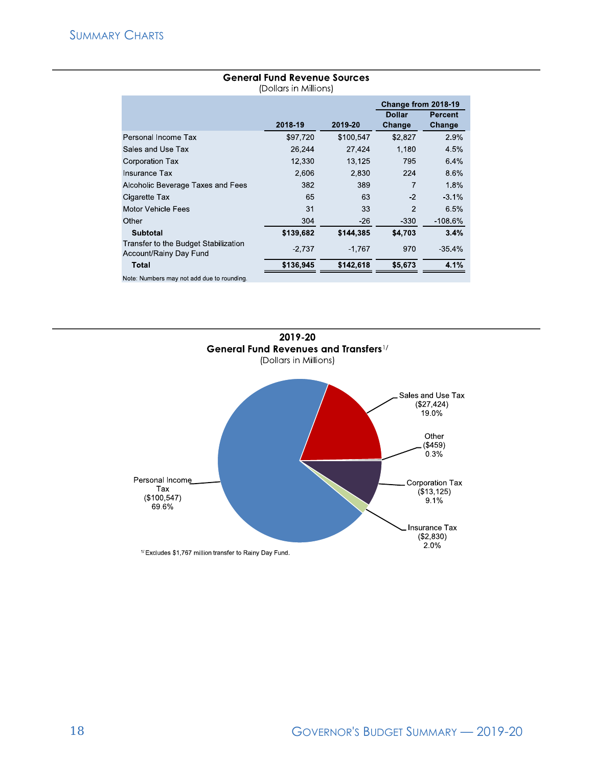|                                                                |           |           | Change from 2018-19 |                |
|----------------------------------------------------------------|-----------|-----------|---------------------|----------------|
|                                                                |           |           | <b>Dollar</b>       | <b>Percent</b> |
|                                                                | 2018-19   | 2019-20   | Change              | Change         |
| Personal Income Tax                                            | \$97,720  | \$100,547 | \$2,827             | 2.9%           |
| Sales and Use Tax                                              | 26,244    | 27,424    | 1,180               | 4.5%           |
| <b>Corporation Tax</b>                                         | 12.330    | 13,125    | 795                 | 6.4%           |
| <b>Insurance Tax</b>                                           | 2,606     | 2,830     | 224                 | 8.6%           |
| Alcoholic Beverage Taxes and Fees                              | 382       | 389       | 7                   | 1.8%           |
| Cigarette Tax                                                  | 65        | 63        | $-2$                | $-3.1%$        |
| Motor Vehicle Fees                                             | 31        | 33        | 2                   | 6.5%           |
| Other                                                          | 304       | $-26$     | $-330$              | $-108.6\%$     |
| <b>Subtotal</b>                                                | \$139,682 | \$144,385 | \$4,703             | 3.4%           |
| Transfer to the Budget Stabilization<br>Account/Rainy Day Fund | $-2,737$  | $-1.767$  | 970                 | $-35.4%$       |
| <b>Total</b>                                                   | \$136,945 | \$142,618 | \$5,673             | 4.1%           |
| Note. Numbers may not add due to rounding.                     |           |           |                     |                |

#### **General Fund Revenue Sources**  (Dollars in Millions)



18 GOVERNOR'S BUDGET SUMMARY — 2019-20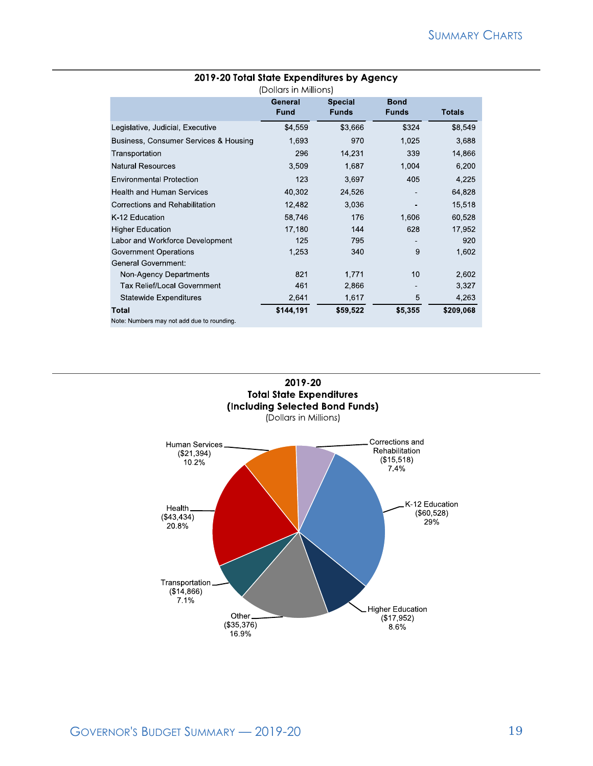| (Dollars in Millions)                     |                        |                                |                             |               |
|-------------------------------------------|------------------------|--------------------------------|-----------------------------|---------------|
|                                           | General<br><b>Fund</b> | <b>Special</b><br><b>Funds</b> | <b>Bond</b><br><b>Funds</b> | <b>Totals</b> |
| Legislative, Judicial, Executive          | \$4,559                | \$3,666                        | \$324                       | \$8,549       |
| Business, Consumer Services & Housing     | 1,693                  | 970                            | 1,025                       | 3,688         |
| Transportation                            | 296                    | 14,231                         | 339                         | 14,866        |
| <b>Natural Resources</b>                  | 3,509                  | 1,687                          | 1,004                       | 6,200         |
| <b>Environmental Protection</b>           | 123                    | 3.697                          | 405                         | 4,225         |
| <b>Health and Human Services</b>          | 40,302                 | 24,526                         |                             | 64,828        |
| Corrections and Rehabilitation            | 12,482                 | 3,036                          |                             | 15,518        |
| K-12 Education                            | 58,746                 | 176                            | 1,606                       | 60,528        |
| <b>Higher Education</b>                   | 17,180                 | 144                            | 628                         | 17,952        |
| Labor and Workforce Development           | 125                    | 795                            |                             | 920           |
| Government Operations                     | 1,253                  | 340                            | 9                           | 1,602         |
| <b>General Government:</b>                |                        |                                |                             |               |
| Non-Agency Departments                    | 821                    | 1,771                          | 10                          | 2,602         |
| Tax Relief/Local Government               | 461                    | 2,866                          |                             | 3,327         |
| <b>Statewide Expenditures</b>             | 2,641                  | 1,617                          | 5                           | 4,263         |
| Total                                     | \$144,191              | \$59,522                       | \$5,355                     | \$209,068     |
| Note: Numbers may not add due to rounding |                        |                                |                             |               |

### **2019-20 Total State Expenditures by Agency**